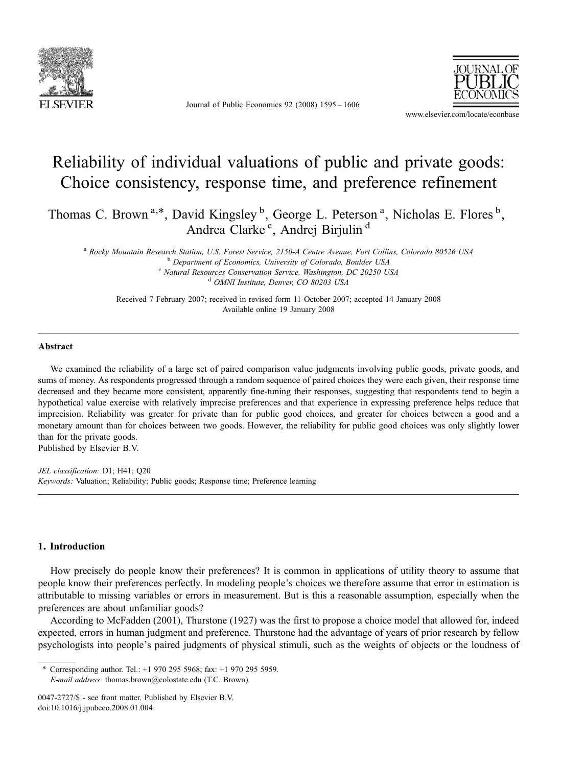

Journal of Public Economics 92 (2008) 1595–1606



www.elsevier.com/locate/econbase

# Reliability of individual valuations of public and private goods: Choice consistency, response time, and preference refinement

Thomas C. Brown<sup>a,\*</sup>, David Kingsley<sup>b</sup>, George L. Peterson<sup>a</sup>, Nicholas E. Flores<sup>b</sup>, Andrea Clarke<sup>c</sup>, Andrej Birjulin<sup>d</sup>

<sup>a</sup> Rocky Mountain Research Station, U.S. Forest Service, 2150-A Centre Avenue, Fort Collins, Colorado 80526 USA<br><sup>b</sup> Department of Economics, University of Colorado, Boulder USA<br><sup>c</sup> Natural Resources Conservation Service,

Received 7 February 2007; received in revised form 11 October 2007; accepted 14 January 2008 Available online 19 January 2008

#### Abstract

We examined the reliability of a large set of paired comparison value judgments involving public goods, private goods, and sums of money. As respondents progressed through a random sequence of paired choices they were each given, their response time decreased and they became more consistent, apparently fine-tuning their responses, suggesting that respondents tend to begin a hypothetical value exercise with relatively imprecise preferences and that experience in expressing preference helps reduce that imprecision. Reliability was greater for private than for public good choices, and greater for choices between a good and a monetary amount than for choices between two goods. However, the reliability for public good choices was only slightly lower than for the private goods. Published by Elsevier B.V.

JEL classification: D1; H41; Q20 Keywords: Valuation; Reliability; Public goods; Response time; Preference learning

# 1. Introduction

How precisely do people know their preferences? It is common in applications of utility theory to assume that people know their preferences perfectly. In modeling people's choices we therefore assume that error in estimation is attributable to missing variables or errors in measurement. But is this a reasonable assumption, especially when the preferences are about unfamiliar goods?

According to McFadden (2001), Thurstone (1927) was the first to propose a choice model that allowed for, indeed expected, errors in human judgment and preference. Thurstone had the advantage of years of prior research by fellow psychologists into people's paired judgments of physical stimuli, such as the weights of objects or the loudness of

0047-2727/\$ - see front matter. Published by Elsevier B.V. doi:10.1016/j.jpubeco.2008.01.004

<sup>⁎</sup> Corresponding author. Tel.: +1 970 295 5968; fax: +1 970 295 5959. E-mail address: thomas.brown@colostate.edu (T.C. Brown).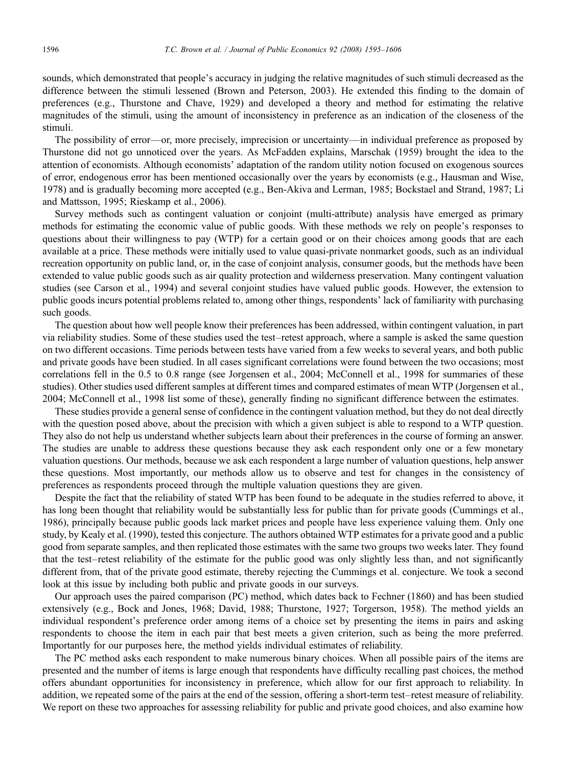sounds, which demonstrated that people's accuracy in judging the relative magnitudes of such stimuli decreased as the difference between the stimuli lessened (Brown and Peterson, 2003). He extended this finding to the domain of preferences (e.g., Thurstone and Chave, 1929) and developed a theory and method for estimating the relative magnitudes of the stimuli, using the amount of inconsistency in preference as an indication of the closeness of the stimuli.

The possibility of error—or, more precisely, imprecision or uncertainty—in individual preference as proposed by Thurstone did not go unnoticed over the years. As McFadden explains, Marschak (1959) brought the idea to the attention of economists. Although economists' adaptation of the random utility notion focused on exogenous sources of error, endogenous error has been mentioned occasionally over the years by economists (e.g., Hausman and Wise, 1978) and is gradually becoming more accepted (e.g., Ben-Akiva and Lerman, 1985; Bockstael and Strand, 1987; Li and Mattsson, 1995; Rieskamp et al., 2006).

Survey methods such as contingent valuation or conjoint (multi-attribute) analysis have emerged as primary methods for estimating the economic value of public goods. With these methods we rely on people's responses to questions about their willingness to pay (WTP) for a certain good or on their choices among goods that are each available at a price. These methods were initially used to value quasi-private nonmarket goods, such as an individual recreation opportunity on public land, or, in the case of conjoint analysis, consumer goods, but the methods have been extended to value public goods such as air quality protection and wilderness preservation. Many contingent valuation studies (see Carson et al., 1994) and several conjoint studies have valued public goods. However, the extension to public goods incurs potential problems related to, among other things, respondents' lack of familiarity with purchasing such goods.

The question about how well people know their preferences has been addressed, within contingent valuation, in part via reliability studies. Some of these studies used the test–retest approach, where a sample is asked the same question on two different occasions. Time periods between tests have varied from a few weeks to several years, and both public and private goods have been studied. In all cases significant correlations were found between the two occasions; most correlations fell in the 0.5 to 0.8 range (see Jorgensen et al., 2004; McConnell et al., 1998 for summaries of these studies). Other studies used different samples at different times and compared estimates of mean WTP (Jorgensen et al., 2004; McConnell et al., 1998 list some of these), generally finding no significant difference between the estimates.

These studies provide a general sense of confidence in the contingent valuation method, but they do not deal directly with the question posed above, about the precision with which a given subject is able to respond to a WTP question. They also do not help us understand whether subjects learn about their preferences in the course of forming an answer. The studies are unable to address these questions because they ask each respondent only one or a few monetary valuation questions. Our methods, because we ask each respondent a large number of valuation questions, help answer these questions. Most importantly, our methods allow us to observe and test for changes in the consistency of preferences as respondents proceed through the multiple valuation questions they are given.

Despite the fact that the reliability of stated WTP has been found to be adequate in the studies referred to above, it has long been thought that reliability would be substantially less for public than for private goods (Cummings et al., 1986), principally because public goods lack market prices and people have less experience valuing them. Only one study, by Kealy et al. (1990), tested this conjecture. The authors obtained WTP estimates for a private good and a public good from separate samples, and then replicated those estimates with the same two groups two weeks later. They found that the test–retest reliability of the estimate for the public good was only slightly less than, and not significantly different from, that of the private good estimate, thereby rejecting the Cummings et al. conjecture. We took a second look at this issue by including both public and private goods in our surveys.

Our approach uses the paired comparison (PC) method, which dates back to Fechner (1860) and has been studied extensively (e.g., Bock and Jones, 1968; David, 1988; Thurstone, 1927; Torgerson, 1958). The method yields an individual respondent's preference order among items of a choice set by presenting the items in pairs and asking respondents to choose the item in each pair that best meets a given criterion, such as being the more preferred. Importantly for our purposes here, the method yields individual estimates of reliability.

The PC method asks each respondent to make numerous binary choices. When all possible pairs of the items are presented and the number of items is large enough that respondents have difficulty recalling past choices, the method offers abundant opportunities for inconsistency in preference, which allow for our first approach to reliability. In addition, we repeated some of the pairs at the end of the session, offering a short-term test–retest measure of reliability. We report on these two approaches for assessing reliability for public and private good choices, and also examine how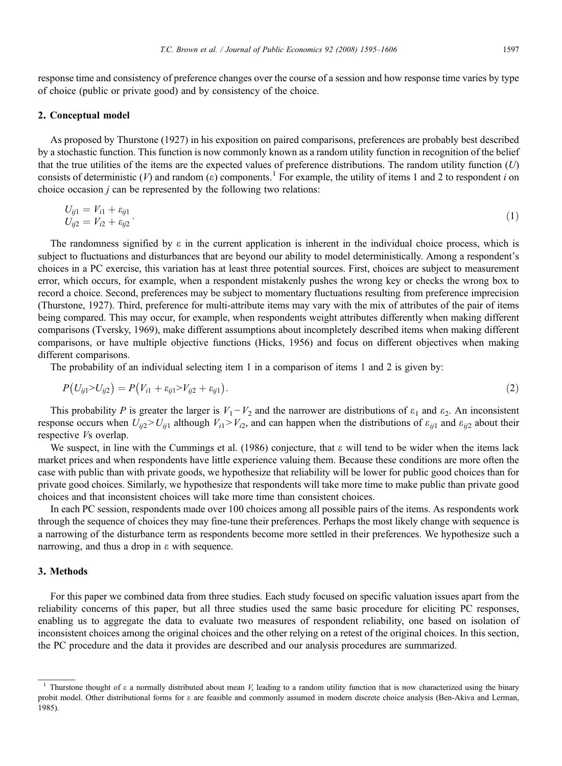response time and consistency of preference changes over the course of a session and how response time varies by type of choice (public or private good) and by consistency of the choice.

## 2. Conceptual model

As proposed by Thurstone (1927) in his exposition on paired comparisons, preferences are probably best described by a stochastic function. This function is now commonly known as a random utility function in recognition of the belief that the true utilities of the items are the expected values of preference distributions. The random utility function  $(U)$ consists of deterministic (V) and random (ε) components.<sup>1</sup> For example, the utility of items 1 and 2 to respondent i on choice occasion  $j$  can be represented by the following two relations:

$$
U_{ij1} = V_{i1} + \varepsilon_{ij1} U_{j2} = V_{i2} + \varepsilon_{ij2}.
$$
 (1)

The randomness signified by  $\varepsilon$  in the current application is inherent in the individual choice process, which is subject to fluctuations and disturbances that are beyond our ability to model deterministically. Among a respondent's choices in a PC exercise, this variation has at least three potential sources. First, choices are subject to measurement error, which occurs, for example, when a respondent mistakenly pushes the wrong key or checks the wrong box to record a choice. Second, preferences may be subject to momentary fluctuations resulting from preference imprecision (Thurstone, 1927). Third, preference for multi-attribute items may vary with the mix of attributes of the pair of items being compared. This may occur, for example, when respondents weight attributes differently when making different comparisons (Tversky, 1969), make different assumptions about incompletely described items when making different comparisons, or have multiple objective functions (Hicks, 1956) and focus on different objectives when making different comparisons.

The probability of an individual selecting item 1 in a comparison of items 1 and 2 is given by:

$$
P(U_{ij1} > U_{ij2}) = P(V_{i1} + \varepsilon_{ij1} > V_{ij2} + \varepsilon_{ij1}).
$$
\n(2)

This probability P is greater the larger is  $V_1 - V_2$  and the narrower are distributions of  $\varepsilon_1$  and  $\varepsilon_2$ . An inconsistent response occurs when  $U_{ij2} > U_{ij1}$  although  $V_{i1} > V_{i2}$ , and can happen when the distributions of  $\varepsilon_{ij1}$  and  $\varepsilon_{ij2}$  about their respective Vs overlap.

We suspect, in line with the Cummings et al. (1986) conjecture, that  $\varepsilon$  will tend to be wider when the items lack market prices and when respondents have little experience valuing them. Because these conditions are more often the case with public than with private goods, we hypothesize that reliability will be lower for public good choices than for private good choices. Similarly, we hypothesize that respondents will take more time to make public than private good choices and that inconsistent choices will take more time than consistent choices.

In each PC session, respondents made over 100 choices among all possible pairs of the items. As respondents work through the sequence of choices they may fine-tune their preferences. Perhaps the most likely change with sequence is a narrowing of the disturbance term as respondents become more settled in their preferences. We hypothesize such a narrowing, and thus a drop in ε with sequence.

## 3. Methods

For this paper we combined data from three studies. Each study focused on specific valuation issues apart from the reliability concerns of this paper, but all three studies used the same basic procedure for eliciting PC responses, enabling us to aggregate the data to evaluate two measures of respondent reliability, one based on isolation of inconsistent choices among the original choices and the other relying on a retest of the original choices. In this section, the PC procedure and the data it provides are described and our analysis procedures are summarized.

<sup>&</sup>lt;sup>1</sup> Thurstone thought of  $\varepsilon$  a normally distributed about mean V, leading to a random utility function that is now characterized using the binary probit model. Other distributional forms for ε are feasible and commonly assumed in modern discrete choice analysis (Ben-Akiva and Lerman, 1985).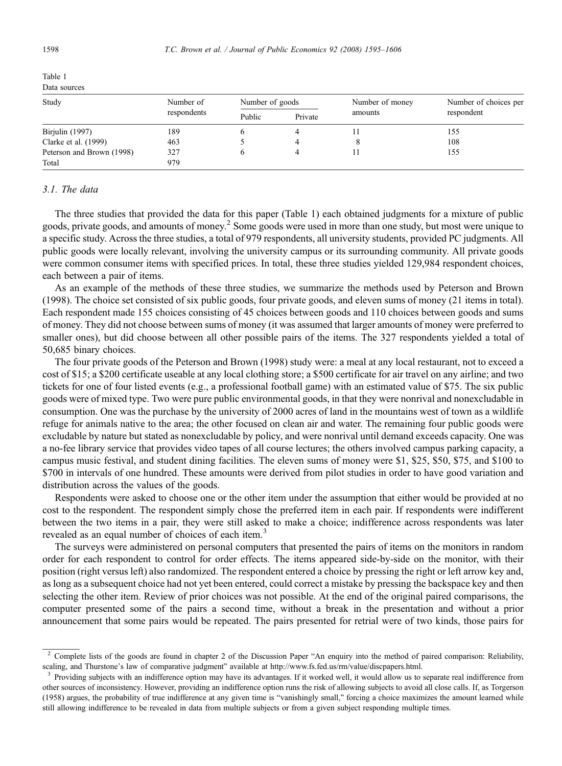| Table        |
|--------------|
| Data sources |

| Study                              | Number of   | Number of goods |         | Number of money | Number of choices per |
|------------------------------------|-------------|-----------------|---------|-----------------|-----------------------|
|                                    | respondents | Public          | Private | amounts         | respondent            |
| Birjulin (1997)                    | 189         |                 |         |                 | 155                   |
| Clarke et al. (1999)               | 463         |                 |         |                 | 108                   |
| Peterson and Brown (1998)<br>Total | 327<br>979  |                 |         |                 | 155                   |

## 3.1. The data

The three studies that provided the data for this paper (Table 1) each obtained judgments for a mixture of public goods, private goods, and amounts of money.<sup>2</sup> Some goods were used in more than one study, but most were unique to a specific study. Across the three studies, a total of 979 respondents, all university students, provided PC judgments. All public goods were locally relevant, involving the university campus or its surrounding community. All private goods were common consumer items with specified prices. In total, these three studies yielded 129,984 respondent choices, each between a pair of items.

As an example of the methods of these three studies, we summarize the methods used by Peterson and Brown (1998). The choice set consisted of six public goods, four private goods, and eleven sums of money (21 items in total). Each respondent made 155 choices consisting of 45 choices between goods and 110 choices between goods and sums of money. They did not choose between sums of money (it was assumed that larger amounts of money were preferred to smaller ones), but did choose between all other possible pairs of the items. The 327 respondents yielded a total of 50,685 binary choices.

The four private goods of the Peterson and Brown (1998) study were: a meal at any local restaurant, not to exceed a cost of \$15; a \$200 certificate useable at any local clothing store; a \$500 certificate for air travel on any airline; and two tickets for one of four listed events (e.g., a professional football game) with an estimated value of \$75. The six public goods were of mixed type. Two were pure public environmental goods, in that they were nonrival and nonexcludable in consumption. One was the purchase by the university of 2000 acres of land in the mountains west of town as a wildlife refuge for animals native to the area; the other focused on clean air and water. The remaining four public goods were excludable by nature but stated as nonexcludable by policy, and were nonrival until demand exceeds capacity. One was a no-fee library service that provides video tapes of all course lectures; the others involved campus parking capacity, a campus music festival, and student dining facilities. The eleven sums of money were \$1, \$25, \$50, \$75, and \$100 to \$700 in intervals of one hundred. These amounts were derived from pilot studies in order to have good variation and distribution across the values of the goods.

Respondents were asked to choose one or the other item under the assumption that either would be provided at no cost to the respondent. The respondent simply chose the preferred item in each pair. If respondents were indifferent between the two items in a pair, they were still asked to make a choice; indifference across respondents was later revealed as an equal number of choices of each item.<sup>3</sup>

The surveys were administered on personal computers that presented the pairs of items on the monitors in random order for each respondent to control for order effects. The items appeared side-by-side on the monitor, with their position (right versus left) also randomized. The respondent entered a choice by pressing the right or left arrow key and, as long as a subsequent choice had not yet been entered, could correct a mistake by pressing the backspace key and then selecting the other item. Review of prior choices was not possible. At the end of the original paired comparisons, the computer presented some of the pairs a second time, without a break in the presentation and without a prior announcement that some pairs would be repeated. The pairs presented for retrial were of two kinds, those pairs for

<sup>&</sup>lt;sup>2</sup> Complete lists of the goods are found in chapter 2 of the Discussion Paper "An enquiry into the method of paired comparison: Reliability, scaling, and Thurstone's law of comparative judgment" available at http://www.fs

<sup>&</sup>lt;sup>3</sup> Providing subjects with an indifference option may have its advantages. If it worked well, it would allow us to separate real indifference from other sources of inconsistency. However, providing an indifference option runs the risk of allowing subjects to avoid all close calls. If, as Torgerson (1958) argues, the probability of true indifference at any given time is "vanishingly small," forcing a choice maximizes the amount learned while still allowing indifference to be revealed in data from multiple subjects or from a given subject responding multiple times.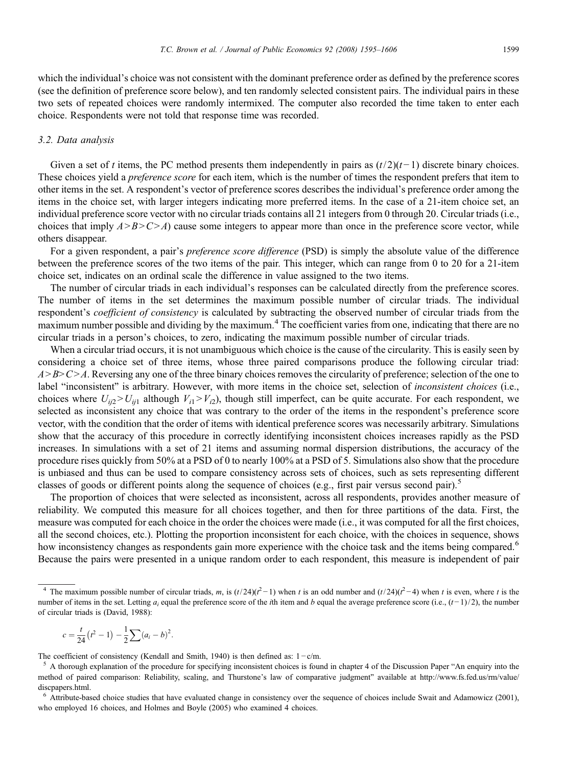which the individual's choice was not consistent with the dominant preference order as defined by the preference scores (see the definition of preference score below), and ten randomly selected consistent pairs. The individual pairs in these two sets of repeated choices were randomly intermixed. The computer also recorded the time taken to enter each choice. Respondents were not told that response time was recorded.

#### 3.2. Data analysis

Given a set of t items, the PC method presents them independently in pairs as  $(t/2)(t-1)$  discrete binary choices. These choices yield a *preference score* for each item, which is the number of times the respondent prefers that item to other items in the set. A respondent's vector of preference scores describes the individual's preference order among the items in the choice set, with larger integers indicating more preferred items. In the case of a 21-item choice set, an individual preference score vector with no circular triads contains all 21 integers from 0 through 20. Circular triads (i.e., choices that imply  $A>B>C>A$  cause some integers to appear more than once in the preference score vector, while others disappear.

For a given respondent, a pair's *preference score difference* (PSD) is simply the absolute value of the difference between the preference scores of the two items of the pair. This integer, which can range from 0 to 20 for a 21-item choice set, indicates on an ordinal scale the difference in value assigned to the two items.

The number of circular triads in each individual's responses can be calculated directly from the preference scores. The number of items in the set determines the maximum possible number of circular triads. The individual respondent's *coefficient of consistency* is calculated by subtracting the observed number of circular triads from the maximum number possible and dividing by the maximum.<sup>4</sup> The coefficient varies from one, indicating that there are no circular triads in a person's choices, to zero, indicating the maximum possible number of circular triads.

When a circular triad occurs, it is not unambiguous which choice is the cause of the circularity. This is easily seen by considering a choice set of three items, whose three paired comparisons produce the following circular triad:  $A > B > C > A$ . Reversing any one of the three binary choices removes the circularity of preference; selection of the one to label "inconsistent" is arbitrary. However, with more items in the choice set, selection of *inconsistent choices* (i.e., choices where  $U_{i2} > U_{ii1}$  although  $V_{i1} > V_{i2}$ ), though still imperfect, can be quite accurate. For each respondent, we selected as inconsistent any choice that was contrary to the order of the items in the respondent's preference score vector, with the condition that the order of items with identical preference scores was necessarily arbitrary. Simulations show that the accuracy of this procedure in correctly identifying inconsistent choices increases rapidly as the PSD increases. In simulations with a set of 21 items and assuming normal dispersion distributions, the accuracy of the procedure rises quickly from 50% at a PSD of 0 to nearly 100% at a PSD of 5. Simulations also show that the procedure is unbiased and thus can be used to compare consistency across sets of choices, such as sets representing different classes of goods or different points along the sequence of choices (e.g., first pair versus second pair).<sup>5</sup>

The proportion of choices that were selected as inconsistent, across all respondents, provides another measure of reliability. We computed this measure for all choices together, and then for three partitions of the data. First, the measure was computed for each choice in the order the choices were made (i.e., it was computed for all the first choices, all the second choices, etc.). Plotting the proportion inconsistent for each choice, with the choices in sequence, shows how inconsistency changes as respondents gain more experience with the choice task and the items being compared.<sup>6</sup> Because the pairs were presented in a unique random order to each respondent, this measure is independent of pair

$$
c = \frac{t}{24} (t^2 - 1) - \frac{1}{2} \sum (a_i - b)^2.
$$

<sup>6</sup> Attribute-based choice studies that have evaluated change in consistency over the sequence of choices include Swait and Adamowicz (2001), who employed 16 choices, and Holmes and Boyle (2005) who examined 4 choices.

<sup>&</sup>lt;sup>4</sup> The maximum possible number of circular triads, m, is  $(t/24)(t^2-1)$  when t is an odd number and  $(t/24)(t^2-4)$  when t is even, where t is the number of items in the set. Letting  $a_i$  equal the preference score of the *i*th item and b equal the average preference score (i.e.,  $(t-1)/2$ ), the number of circular triads is (David, 1988):

The coefficient of consistency (Kendall and Smith, 1940) is then defined as:  $1 - c/m$ .<br><sup>5</sup> A thorough explanation of the procedure for specifying inconsistent choices is found in chapter 4 of the Discussion Paper "An enquir method of paired comparison: Reliability, scaling, and Thurstone's law of comparative judgment" available at http://www.fs.fed.us/rm/value/ discpapers.html.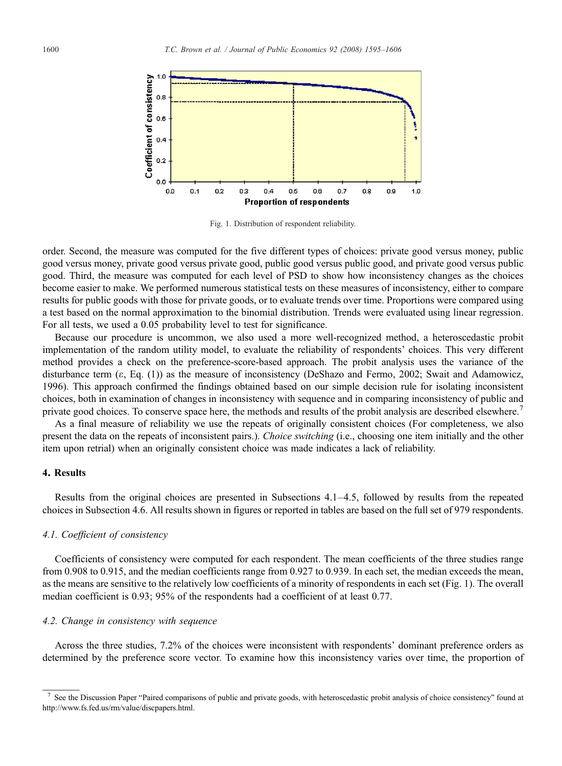

Fig. 1. Distribution of respondent reliability.

order. Second, the measure was computed for the five different types of choices: private good versus money, public good versus money, private good versus private good, public good versus public good, and private good versus public good. Third, the measure was computed for each level of PSD to show how inconsistency changes as the choices become easier to make. We performed numerous statistical tests on these measures of inconsistency, either to compare results for public goods with those for private goods, or to evaluate trends over time. Proportions were compared using a test based on the normal approximation to the binomial distribution. Trends were evaluated using linear regression. For all tests, we used a 0.05 probability level to test for significance.

Because our procedure is uncommon, we also used a more well-recognized method, a heteroscedastic probit implementation of the random utility model, to evaluate the reliability of respondents' choices. This very different method provides a check on the preference-score-based approach. The probit analysis uses the variance of the disturbance term (ε, Eq. (1)) as the measure of inconsistency (DeShazo and Fermo, 2002; Swait and Adamowicz, 1996). This approach confirmed the findings obtained based on our simple decision rule for isolating inconsistent choices, both in examination of changes in inconsistency with sequence and in comparing inconsistency of public and private good choices. To conserve space here, the methods and results of the probit analysis are described elsewhere.<sup>7</sup>

As a final measure of reliability we use the repeats of originally consistent choices (For completeness, we also present the data on the repeats of inconsistent pairs.). Choice switching (i.e., choosing one item initially and the other item upon retrial) when an originally consistent choice was made indicates a lack of reliability.

# 4. Results

Results from the original choices are presented in Subsections 4.1–4.5, followed by results from the repeated choices in Subsection 4.6. All results shown in figures or reported in tables are based on the full set of 979 respondents.

#### 4.1. Coefficient of consistency

Coefficients of consistency were computed for each respondent. The mean coefficients of the three studies range from 0.908 to 0.915, and the median coefficients range from 0.927 to 0.939. In each set, the median exceeds the mean, as the means are sensitive to the relatively low coefficients of a minority of respondents in each set (Fig. 1). The overall median coefficient is 0.93; 95% of the respondents had a coefficient of at least 0.77.

#### 4.2. Change in consistency with sequence

Across the three studies, 7.2% of the choices were inconsistent with respondents' dominant preference orders as determined by the preference score vector. To examine how this inconsistency varies over time, the proportion of

See the Discussion Paper "Paired comparisons of public and private goods, with heteroscedastic probit analysis of choice consistency" found at http://www.fs.fed.us/rm/value/discpapers.html.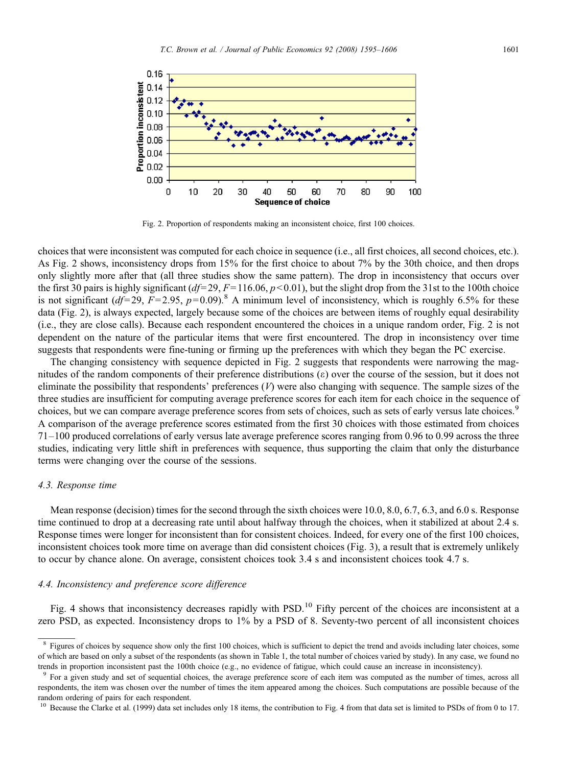

Fig. 2. Proportion of respondents making an inconsistent choice, first 100 choices.

choices that were inconsistent was computed for each choice in sequence (i.e., all first choices, all second choices, etc.). As Fig. 2 shows, inconsistency drops from 15% for the first choice to about 7% by the 30th choice, and then drops only slightly more after that (all three studies show the same pattern). The drop in inconsistency that occurs over the first 30 pairs is highly significant ( $df=29$ ,  $F=116.06$ ,  $p<0.01$ ), but the slight drop from the 31st to the 100th choice is not significant (df=29, F=2.95, p=0.09).<sup>8</sup> A minimum level of inconsistency, which is roughly 6.5% for these data (Fig. 2), is always expected, largely because some of the choices are between items of roughly equal desirability (i.e., they are close calls). Because each respondent encountered the choices in a unique random order, Fig. 2 is not dependent on the nature of the particular items that were first encountered. The drop in inconsistency over time suggests that respondents were fine-tuning or firming up the preferences with which they began the PC exercise.

The changing consistency with sequence depicted in Fig. 2 suggests that respondents were narrowing the magnitudes of the random components of their preference distributions  $(\varepsilon)$  over the course of the session, but it does not eliminate the possibility that respondents' preferences  $(V)$  were also changing with sequence. The sample sizes of the three studies are insufficient for computing average preference scores for each item for each choice in the sequence of choices, but we can compare average preference scores from sets of choices, such as sets of early versus late choices.<sup>9</sup> A comparison of the average preference scores estimated from the first 30 choices with those estimated from choices 71–100 produced correlations of early versus late average preference scores ranging from 0.96 to 0.99 across the three studies, indicating very little shift in preferences with sequence, thus supporting the claim that only the disturbance terms were changing over the course of the sessions.

#### 4.3. Response time

Mean response (decision) times for the second through the sixth choices were 10.0, 8.0, 6.7, 6.3, and 6.0 s. Response time continued to drop at a decreasing rate until about halfway through the choices, when it stabilized at about 2.4 s. Response times were longer for inconsistent than for consistent choices. Indeed, for every one of the first 100 choices, inconsistent choices took more time on average than did consistent choices (Fig. 3), a result that is extremely unlikely to occur by chance alone. On average, consistent choices took 3.4 s and inconsistent choices took 4.7 s.

#### 4.4. Inconsistency and preference score difference

Fig. 4 shows that inconsistency decreases rapidly with PSD.<sup>10</sup> Fifty percent of the choices are inconsistent at a zero PSD, as expected. Inconsistency drops to 1% by a PSD of 8. Seventy-two percent of all inconsistent choices

<sup>&</sup>lt;sup>8</sup> Figures of choices by sequence show only the first 100 choices, which is sufficient to depict the trend and avoids including later choices, some of which are based on only a subset of the respondents (as shown in Table 1, the total number of choices varied by study). In any case, we found no trends in proportion inconsistent past the 100th choice (e.g., no evidence of fatigue, which could cause an increase in inconsistency).

<sup>&</sup>lt;sup>9</sup> For a given study and set of sequential choices, the average preference score of each item was computed as the number of times, across all respondents, the item was chosen over the number of times the item appeared among the choices. Such computations are possible because of the random ordering of pairs for each respondent.

<sup>&</sup>lt;sup>10</sup> Because the Clarke et al. (1999) data set includes only 18 items, the contribution to Fig. 4 from that data set is limited to PSDs of from 0 to 17.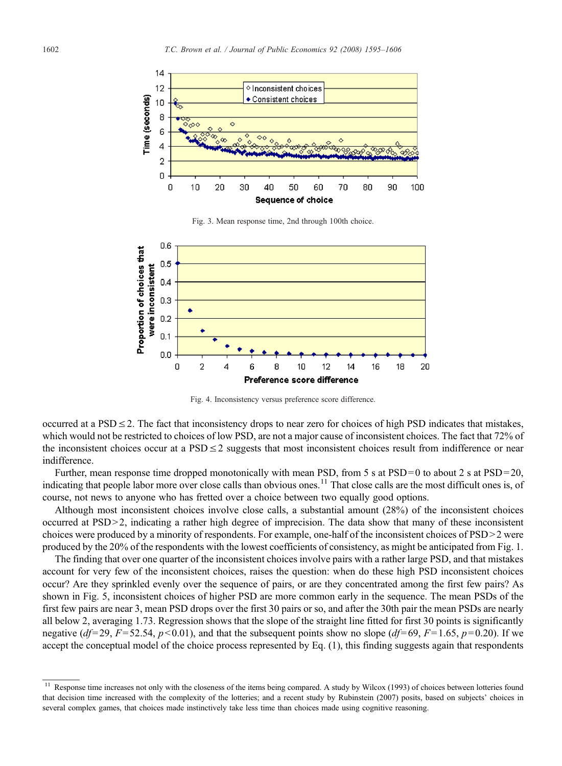

Fig. 3. Mean response time, 2nd through 100th choice.



Fig. 4. Inconsistency versus preference score difference.

occurred at a  $PSD \leq 2$ . The fact that inconsistency drops to near zero for choices of high PSD indicates that mistakes, which would not be restricted to choices of low PSD, are not a major cause of inconsistent choices. The fact that 72% of the inconsistent choices occur at a  $PSD \leq 2$  suggests that most inconsistent choices result from indifference or near indifference.

Further, mean response time dropped monotonically with mean PSD, from 5 s at PSD = 0 to about 2 s at PSD = 20, indicating that people labor more over close calls than obvious ones.<sup>11</sup> That close calls are the most difficult ones is, of course, not news to anyone who has fretted over a choice between two equally good options.

Although most inconsistent choices involve close calls, a substantial amount (28%) of the inconsistent choices occurred at PSD > 2, indicating a rather high degree of imprecision. The data show that many of these inconsistent choices were produced by a minority of respondents. For example, one-half of the inconsistent choices of  $\text{PSD}$  > 2 were produced by the 20% of the respondents with the lowest coefficients of consistency, as might be anticipated from Fig. 1.

The finding that over one quarter of the inconsistent choices involve pairs with a rather large PSD, and that mistakes account for very few of the inconsistent choices, raises the question: when do these high PSD inconsistent choices occur? Are they sprinkled evenly over the sequence of pairs, or are they concentrated among the first few pairs? As shown in Fig. 5, inconsistent choices of higher PSD are more common early in the sequence. The mean PSDs of the first few pairs are near 3, mean PSD drops over the first 30 pairs or so, and after the 30th pair the mean PSDs are nearly all below 2, averaging 1.73. Regression shows that the slope of the straight line fitted for first 30 points is significantly negative  $(df= 29, F= 52.54, p<0.01)$ , and that the subsequent points show no slope  $(df= 69, F= 1.65, p= 0.20)$ . If we accept the conceptual model of the choice process represented by Eq. (1), this finding suggests again that respondents

<sup>&</sup>lt;sup>11</sup> Response time increases not only with the closeness of the items being compared. A study by Wilcox (1993) of choices between lotteries found that decision time increased with the complexity of the lotteries; and a recent study by Rubinstein (2007) posits, based on subjects' choices in several complex games, that choices made instinctively take less time than choices made using cognitive reasoning.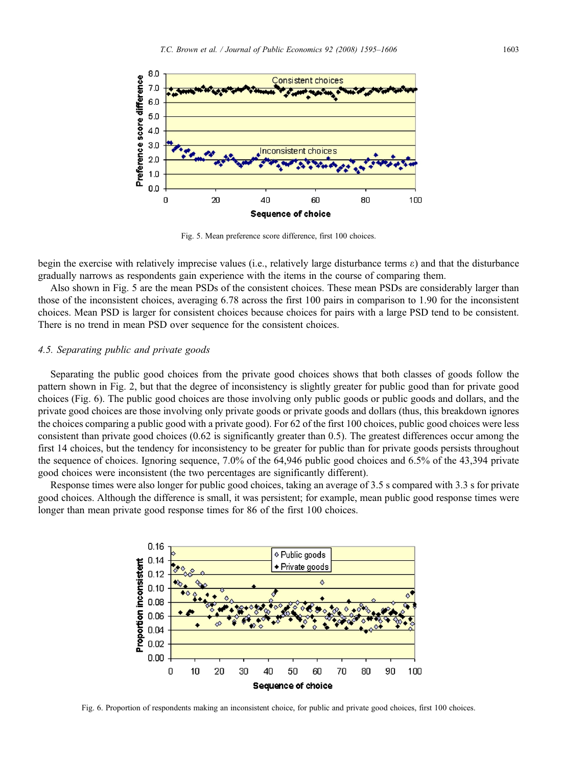

Fig. 5. Mean preference score difference, first 100 choices.

begin the exercise with relatively imprecise values (i.e., relatively large disturbance terms ε) and that the disturbance gradually narrows as respondents gain experience with the items in the course of comparing them.

Also shown in Fig. 5 are the mean PSDs of the consistent choices. These mean PSDs are considerably larger than those of the inconsistent choices, averaging 6.78 across the first 100 pairs in comparison to 1.90 for the inconsistent choices. Mean PSD is larger for consistent choices because choices for pairs with a large PSD tend to be consistent. There is no trend in mean PSD over sequence for the consistent choices.

# 4.5. Separating public and private goods

Separating the public good choices from the private good choices shows that both classes of goods follow the pattern shown in Fig. 2, but that the degree of inconsistency is slightly greater for public good than for private good choices (Fig. 6). The public good choices are those involving only public goods or public goods and dollars, and the private good choices are those involving only private goods or private goods and dollars (thus, this breakdown ignores the choices comparing a public good with a private good). For 62 of the first 100 choices, public good choices were less consistent than private good choices (0.62 is significantly greater than 0.5). The greatest differences occur among the first 14 choices, but the tendency for inconsistency to be greater for public than for private goods persists throughout the sequence of choices. Ignoring sequence, 7.0% of the 64,946 public good choices and 6.5% of the 43,394 private good choices were inconsistent (the two percentages are significantly different).

Response times were also longer for public good choices, taking an average of 3.5 s compared with 3.3 s for private good choices. Although the difference is small, it was persistent; for example, mean public good response times were longer than mean private good response times for 86 of the first 100 choices.



Fig. 6. Proportion of respondents making an inconsistent choice, for public and private good choices, first 100 choices.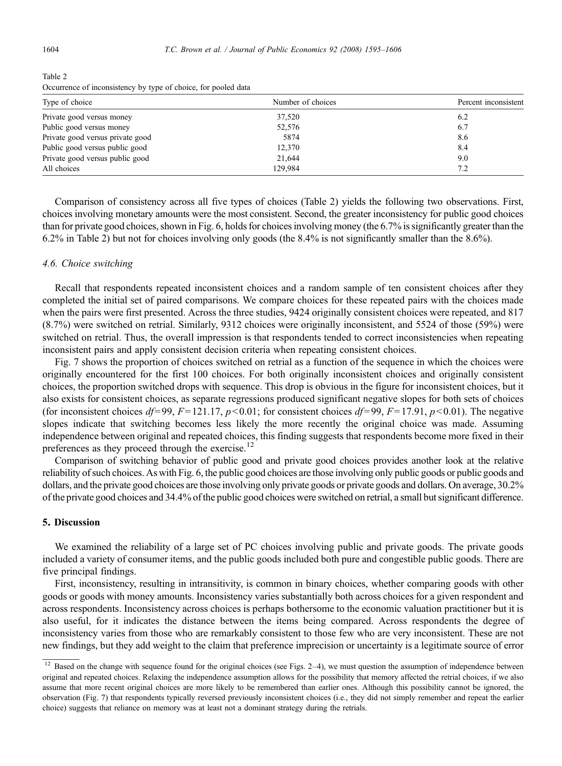Table 2 Occurrence of inconsistency by type of choice, for pooled data

| Type of choice                   | Number of choices | Percent inconsistent<br>6.2 |  |
|----------------------------------|-------------------|-----------------------------|--|
| Private good versus money        | 37,520            |                             |  |
| Public good versus money         | 52,576            | 6.7                         |  |
| Private good versus private good | 5874              | 8.6                         |  |
| Public good versus public good   | 12,370            | 8.4                         |  |
| Private good versus public good  | 21,644            | 9.0                         |  |
| All choices                      | 129.984           | 7.2                         |  |

Comparison of consistency across all five types of choices (Table 2) yields the following two observations. First, choices involving monetary amounts were the most consistent. Second, the greater inconsistency for public good choices than for private good choices, shown in Fig. 6, holds for choices involving money (the 6.7% is significantly greater than the 6.2% in Table 2) but not for choices involving only goods (the 8.4% is not significantly smaller than the 8.6%).

### 4.6. Choice switching

Recall that respondents repeated inconsistent choices and a random sample of ten consistent choices after they completed the initial set of paired comparisons. We compare choices for these repeated pairs with the choices made when the pairs were first presented. Across the three studies, 9424 originally consistent choices were repeated, and 817 (8.7%) were switched on retrial. Similarly, 9312 choices were originally inconsistent, and 5524 of those (59%) were switched on retrial. Thus, the overall impression is that respondents tended to correct inconsistencies when repeating inconsistent pairs and apply consistent decision criteria when repeating consistent choices.

Fig. 7 shows the proportion of choices switched on retrial as a function of the sequence in which the choices were originally encountered for the first 100 choices. For both originally inconsistent choices and originally consistent choices, the proportion switched drops with sequence. This drop is obvious in the figure for inconsistent choices, but it also exists for consistent choices, as separate regressions produced significant negative slopes for both sets of choices (for inconsistent choices  $df=99$ ,  $F=121.17$ ,  $p<0.01$ ; for consistent choices  $df=99$ ,  $F=17.91$ ,  $p<0.01$ ). The negative slopes indicate that switching becomes less likely the more recently the original choice was made. Assuming independence between original and repeated choices, this finding suggests that respondents become more fixed in their preferences as they proceed through the exercise. $^{12}$ 

Comparison of switching behavior of public good and private good choices provides another look at the relative reliability of such choices. As with Fig. 6, the public good choices are those involving only public goods or public goods and dollars, and the private good choices are those involving only private goods or private goods and dollars. On average, 30.2% of the private good choices and 34.4% of the public good choices were switched on retrial, a small but significant difference.

# 5. Discussion

We examined the reliability of a large set of PC choices involving public and private goods. The private goods included a variety of consumer items, and the public goods included both pure and congestible public goods. There are five principal findings.

First, inconsistency, resulting in intransitivity, is common in binary choices, whether comparing goods with other goods or goods with money amounts. Inconsistency varies substantially both across choices for a given respondent and across respondents. Inconsistency across choices is perhaps bothersome to the economic valuation practitioner but it is also useful, for it indicates the distance between the items being compared. Across respondents the degree of inconsistency varies from those who are remarkably consistent to those few who are very inconsistent. These are not new findings, but they add weight to the claim that preference imprecision or uncertainty is a legitimate source of error

 $12$  Based on the change with sequence found for the original choices (see Figs. 2–4), we must question the assumption of independence between original and repeated choices. Relaxing the independence assumption allows for the possibility that memory affected the retrial choices, if we also assume that more recent original choices are more likely to be remembered than earlier ones. Although this possibility cannot be ignored, the observation (Fig. 7) that respondents typically reversed previously inconsistent choices (i.e., they did not simply remember and repeat the earlier choice) suggests that reliance on memory was at least not a dominant strategy during the retrials.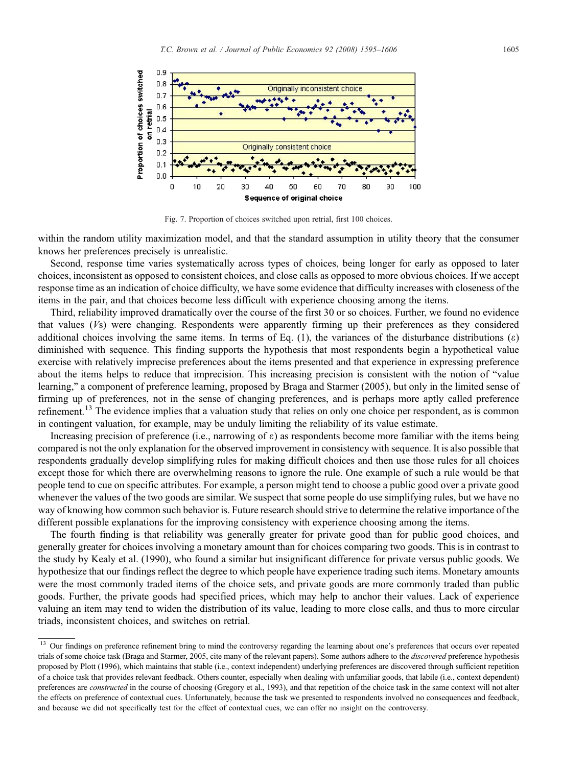

Fig. 7. Proportion of choices switched upon retrial, first 100 choices.

within the random utility maximization model, and that the standard assumption in utility theory that the consumer knows her preferences precisely is unrealistic.

Second, response time varies systematically across types of choices, being longer for early as opposed to later choices, inconsistent as opposed to consistent choices, and close calls as opposed to more obvious choices. If we accept response time as an indication of choice difficulty, we have some evidence that difficulty increases with closeness of the items in the pair, and that choices become less difficult with experience choosing among the items.

Third, reliability improved dramatically over the course of the first 30 or so choices. Further, we found no evidence that values (Vs) were changing. Respondents were apparently firming up their preferences as they considered additional choices involving the same items. In terms of Eq. (1), the variances of the disturbance distributions  $(\varepsilon)$ diminished with sequence. This finding supports the hypothesis that most respondents begin a hypothetical value exercise with relatively imprecise preferences about the items presented and that experience in expressing preference about the items helps to reduce that imprecision. This increasing precision is consistent with the notion of "value learning," a component of preference learning, proposed by Braga and Starmer (2005), but only in the limited sense of firming up of preferences, not in the sense of changing preferences, and is perhaps more aptly called preference refinement.<sup>13</sup> The evidence implies that a valuation study that relies on only one choice per respondent, as is common in contingent valuation, for example, may be unduly limiting the reliability of its value estimate.

Increasing precision of preference (i.e., narrowing of  $\varepsilon$ ) as respondents become more familiar with the items being compared is not the only explanation for the observed improvement in consistency with sequence. It is also possible that respondents gradually develop simplifying rules for making difficult choices and then use those rules for all choices except those for which there are overwhelming reasons to ignore the rule. One example of such a rule would be that people tend to cue on specific attributes. For example, a person might tend to choose a public good over a private good whenever the values of the two goods are similar. We suspect that some people do use simplifying rules, but we have no way of knowing how common such behavior is. Future research should strive to determine the relative importance of the different possible explanations for the improving consistency with experience choosing among the items.

The fourth finding is that reliability was generally greater for private good than for public good choices, and generally greater for choices involving a monetary amount than for choices comparing two goods. This is in contrast to the study by Kealy et al. (1990), who found a similar but insignificant difference for private versus public goods. We hypothesize that our findings reflect the degree to which people have experience trading such items. Monetary amounts were the most commonly traded items of the choice sets, and private goods are more commonly traded than public goods. Further, the private goods had specified prices, which may help to anchor their values. Lack of experience valuing an item may tend to widen the distribution of its value, leading to more close calls, and thus to more circular triads, inconsistent choices, and switches on retrial.

<sup>&</sup>lt;sup>13</sup> Our findings on preference refinement bring to mind the controversy regarding the learning about one's preferences that occurs over repeated trials of some choice task (Braga and Starmer, 2005, cite many of the relevant papers). Some authors adhere to the *discovered* preference hypothesis proposed by Plott (1996), which maintains that stable (i.e., context independent) underlying preferences are discovered through sufficient repetition of a choice task that provides relevant feedback. Others counter, especially when dealing with unfamiliar goods, that labile (i.e., context dependent) preferences are *constructed* in the course of choosing (Gregory et al., 1993), and that repetition of the choice task in the same context will not alter the effects on preference of contextual cues. Unfortunately, because the task we presented to respondents involved no consequences and feedback, and because we did not specifically test for the effect of contextual cues, we can offer no insight on the controversy.